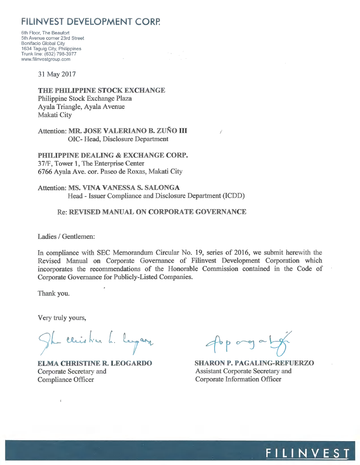# FILINVEST DEVELOPMENT CORP.

6th Floor, The Beaufort 5th Avenue corner 23rd Street **Bonifacio Global City** 1634 Taguig City, Philippines Trunk line: (632) 798-3977 www.filinvestgroup.com

 $\frac{\partial \mathbf{v}}{\partial t} = \frac{\partial \mathbf{v}}{\partial \mathbf{v}}$ 

31 May 2017

THE PHILIPPINE STOCK EXCHANGE Philippine Stock Exchange Plaza Ayala Triangle, Ayala Avenue Makati City

Attention: MR. JOSE VALERIANO B. ZUÑO III OIC-Head, Disclosure Department

PHILIPPINE DEALING & EXCHANGE CORP. 37/F, Tower 1, The Enterprise Center 6766 Ayala Ave. cor. Paseo de Roxas, Makati City

Attention: MS. VINA VANESSA S. SALONGA Head - Issuer Compliance and Disclosure Department (ICDD)

**Re: REVISED MANUAL ON CORPORATE GOVERNANCE** 

Ladies / Gentlemen:

In compliance with SEC Memorandum Circular No. 19, series of 2016, we submit herewith the Revised Manual on Corporate Governance of Filinvest Development Corporation which incorporates the recommendations of the Honorable Commission contained in the Code of Corporate Governance for Publicly-Listed Companies.

Thank you.

Very truly yours,

 $\bar{t}$ 

The casistic L. lagary

**ELMA CHRISTINE R. LEOGARDO** Corporate Secretary and **Compliance Officer** 

 $4bp$  orgal

**SHARON P. PAGALING-REFUERZO Assistant Corporate Secretary and Corporate Information Officer** 

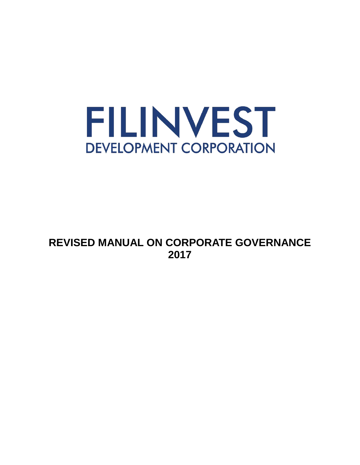

# **REVISED MANUAL ON CORPORATE GOVERNANCE 2017**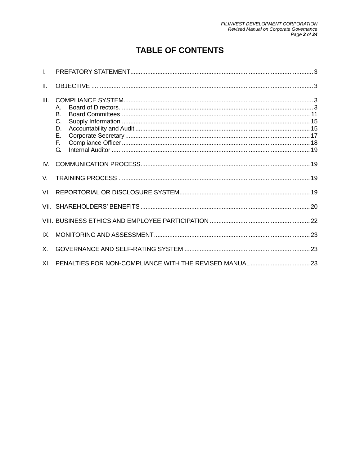# **TABLE OF CONTENTS**

| L.   |                                        |  |
|------|----------------------------------------|--|
| Ш.   |                                        |  |
| III. | Α.<br>B.<br>C.<br>D.<br>Ε.<br>F.<br>G. |  |
| IV.  |                                        |  |
| V.   |                                        |  |
|      |                                        |  |
|      |                                        |  |
|      |                                        |  |
| IX.  |                                        |  |
| X.   |                                        |  |
| XL.  |                                        |  |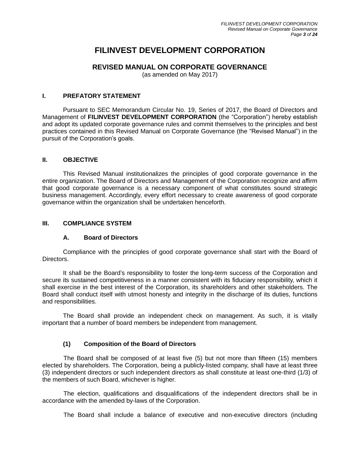# **FILINVEST DEVELOPMENT CORPORATION**

# **REVISED MANUAL ON CORPORATE GOVERNANCE**

(as amended on May 2017)

#### <span id="page-3-0"></span>**I. PREFATORY STATEMENT**

Pursuant to SEC Memorandum Circular No. 19, Series of 2017, the Board of Directors and Management of **FILINVEST DEVELOPMENT CORPORATION** (the "Corporation") hereby establish and adopt its updated corporate governance rules and commit themselves to the principles and best practices contained in this Revised Manual on Corporate Governance (the "Revised Manual") in the pursuit of the Corporation's goals.

#### <span id="page-3-1"></span>**II. OBJECTIVE**

This Revised Manual institutionalizes the principles of good corporate governance in the entire organization. The Board of Directors and Management of the Corporation recognize and affirm that good corporate governance is a necessary component of what constitutes sound strategic business management. Accordingly, every effort necessary to create awareness of good corporate governance within the organization shall be undertaken henceforth.

# <span id="page-3-3"></span><span id="page-3-2"></span>**III. COMPLIANCE SYSTEM**

# **A. Board of Directors**

Compliance with the principles of good corporate governance shall start with the Board of Directors.

It shall be the Board's responsibility to foster the long-term success of the Corporation and secure its sustained competitiveness in a manner consistent with its fiduciary responsibility, which it shall exercise in the best interest of the Corporation, its shareholders and other stakeholders. The Board shall conduct itself with utmost honesty and integrity in the discharge of its duties, functions and responsibilities.

The Board shall provide an independent check on management. As such, it is vitally important that a number of board members be independent from management.

# **(1) Composition of the Board of Directors**

The Board shall be composed of at least five (5) but not more than fifteen (15) members elected by shareholders. The Corporation, being a publicly-listed company, shall have at least three (3) independent directors or such independent directors as shall constitute at least one-third (1/3) of the members of such Board, whichever is higher.

The election, qualifications and disqualifications of the independent directors shall be in accordance with the amended by-laws of the Corporation.

The Board shall include a balance of executive and non-executive directors (including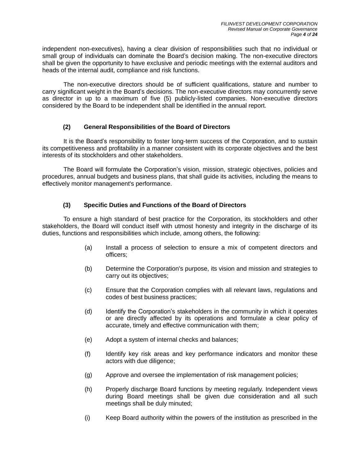independent non-executives), having a clear division of responsibilities such that no individual or small group of individuals can dominate the Board's decision making. The non-executive directors shall be given the opportunity to have exclusive and periodic meetings with the external auditors and heads of the internal audit, compliance and risk functions.

The non-executive directors should be of sufficient qualifications, stature and number to carry significant weight in the Board's decisions. The non-executive directors may concurrently serve as director in up to a maximum of five (5) publicly-listed companies. Non-executive directors considered by the Board to be independent shall be identified in the annual report.

# **(2) General Responsibilities of the Board of Directors**

It is the Board's responsibility to foster long-term success of the Corporation, and to sustain its competitiveness and profitability in a manner consistent with its corporate objectives and the best interests of its stockholders and other stakeholders.

The Board will formulate the Corporation's vision, mission, strategic objectives, policies and procedures, annual budgets and business plans, that shall guide its activities, including the means to effectively monitor management's performance.

# **(3) Specific Duties and Functions of the Board of Directors**

To ensure a high standard of best practice for the Corporation, its stockholders and other stakeholders, the Board will conduct itself with utmost honesty and integrity in the discharge of its duties, functions and responsibilities which include, among others, the following:

- (a) Install a process of selection to ensure a mix of competent directors and officers;
- (b) Determine the Corporation's purpose, its vision and mission and strategies to carry out its objectives;
- (c) Ensure that the Corporation complies with all relevant laws, regulations and codes of best business practices;
- (d) Identify the Corporation's stakeholders in the community in which it operates or are directly affected by its operations and formulate a clear policy of accurate, timely and effective communication with them;
- (e) Adopt a system of internal checks and balances;
- (f) Identify key risk areas and key performance indicators and monitor these actors with due diligence;
- (g) Approve and oversee the implementation of risk management policies;
- (h) Properly discharge Board functions by meeting regularly. Independent views during Board meetings shall be given due consideration and all such meetings shall be duly minuted;
- (i) Keep Board authority within the powers of the institution as prescribed in the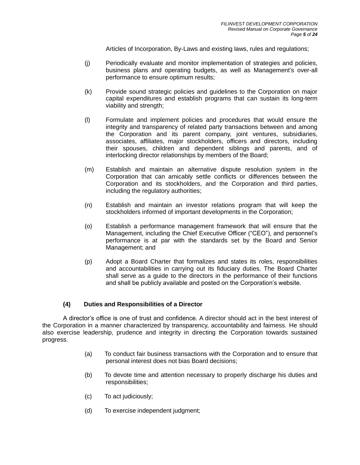Articles of Incorporation, By-Laws and existing laws, rules and regulations;

- (j) Periodically evaluate and monitor implementation of strategies and policies, business plans and operating budgets, as well as Management's over-all performance to ensure optimum results;
- (k) Provide sound strategic policies and guidelines to the Corporation on major capital expenditures and establish programs that can sustain its long-term viability and strength;
- (l) Formulate and implement policies and procedures that would ensure the integrity and transparency of related party transactions between and among the Corporation and its parent company, joint ventures, subsidiaries, associates, affiliates, major stockholders, officers and directors, including their spouses, children and dependent siblings and parents, and of interlocking director relationships by members of the Board;
- (m) Establish and maintain an alternative dispute resolution system in the Corporation that can amicably settle conflicts or differences between the Corporation and its stockholders, and the Corporation and third parties, including the regulatory authorities;
- (n) Establish and maintain an investor relations program that will keep the stockholders informed of important developments in the Corporation;
- (o) Establish a performance management framework that will ensure that the Management, including the Chief Executive Officer ("CEO"), and personnel's performance is at par with the standards set by the Board and Senior Management; and
- (p) Adopt a Board Charter that formalizes and states its roles, responsibilities and accountabilities in carrying out its fiduciary duties. The Board Charter shall serve as a guide to the directors in the performance of their functions and shall be publicly available and posted on the Corporation's website.

#### **(4) Duties and Responsibilities of a Director**

A director's office is one of trust and confidence. A director should act in the best interest of the Corporation in a manner characterized by transparency, accountability and fairness. He should also exercise leadership, prudence and integrity in directing the Corporation towards sustained progress.

- (a) To conduct fair business transactions with the Corporation and to ensure that personal interest does not bias Board decisions;
- (b) To devote time and attention necessary to properly discharge his duties and responsibilities;
- (c) To act judiciously;
- (d) To exercise independent judgment;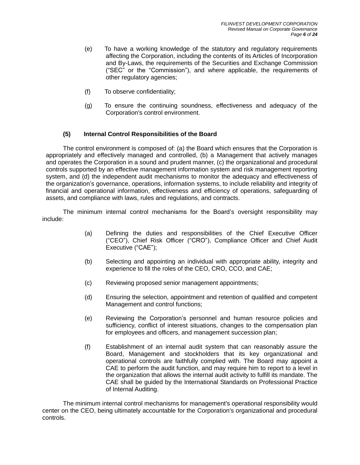- (e) To have a working knowledge of the statutory and regulatory requirements affecting the Corporation, including the contents of its Articles of Incorporation and By-Laws, the requirements of the Securities and Exchange Commission ("SEC" or the "Commission"), and where applicable, the requirements of other regulatory agencies;
- (f) To observe confidentiality;
- (g) To ensure the continuing soundness, effectiveness and adequacy of the Corporation's control environment.

# **(5) Internal Control Responsibilities of the Board**

The control environment is composed of: (a) the Board which ensures that the Corporation is appropriately and effectively managed and controlled, (b) a Management that actively manages and operates the Corporation in a sound and prudent manner, (c) the organizational and procedural controls supported by an effective management information system and risk management reporting system, and (d) the independent audit mechanisms to monitor the adequacy and effectiveness of the organization's governance, operations, information systems, to include reliability and integrity of financial and operational information, effectiveness and efficiency of operations, safeguarding of assets, and compliance with laws, rules and regulations, and contracts.

The minimum internal control mechanisms for the Board's oversight responsibility may include:

- (a) Defining the duties and responsibilities of the Chief Executive Officer ("CEO"), Chief Risk Officer ("CRO"), Compliance Officer and Chief Audit Executive ("CAE");
- (b) Selecting and appointing an individual with appropriate ability, integrity and experience to fill the roles of the CEO, CRO, CCO, and CAE;
- (c) Reviewing proposed senior management appointments;
- (d) Ensuring the selection, appointment and retention of qualified and competent Management and control functions;
- (e) Reviewing the Corporation's personnel and human resource policies and sufficiency, conflict of interest situations, changes to the compensation plan for employees and officers, and management succession plan;
- (f) Establishment of an internal audit system that can reasonably assure the Board, Management and stockholders that its key organizational and operational controls are faithfully complied with. The Board may appoint a CAE to perform the audit function, and may require him to report to a level in the organization that allows the internal audit activity to fulfill its mandate. The CAE shall be guided by the International Standards on Professional Practice of Internal Auditing.

The minimum internal control mechanisms for management's operational responsibility would center on the CEO, being ultimately accountable for the Corporation's organizational and procedural controls.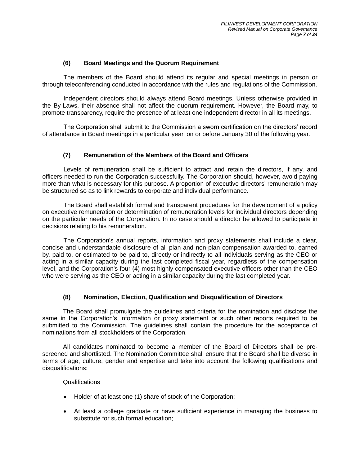#### **(6) Board Meetings and the Quorum Requirement**

The members of the Board should attend its regular and special meetings in person or through teleconferencing conducted in accordance with the rules and regulations of the Commission.

Independent directors should always attend Board meetings. Unless otherwise provided in the By-Laws, their absence shall not affect the quorum requirement. However, the Board may, to promote transparency, require the presence of at least one independent director in all its meetings.

The Corporation shall submit to the Commission a sworn certification on the directors' record of attendance in Board meetings in a particular year, on or before January 30 of the following year.

#### **(7) Remuneration of the Members of the Board and Officers**

Levels of remuneration shall be sufficient to attract and retain the directors, if any, and officers needed to run the Corporation successfully. The Corporation should, however, avoid paying more than what is necessary for this purpose. A proportion of executive directors' remuneration may be structured so as to link rewards to corporate and individual performance.

The Board shall establish formal and transparent procedures for the development of a policy on executive remuneration or determination of remuneration levels for individual directors depending on the particular needs of the Corporation. In no case should a director be allowed to participate in decisions relating to his remuneration.

The Corporation's annual reports, information and proxy statements shall include a clear, concise and understandable disclosure of all plan and non-plan compensation awarded to, earned by, paid to, or estimated to be paid to, directly or indirectly to all individuals serving as the CEO or acting in a similar capacity during the last completed fiscal year, regardless of the compensation level, and the Corporation's four (4) most highly compensated executive officers other than the CEO who were serving as the CEO or acting in a similar capacity during the last completed year.

#### **(8) Nomination, Election, Qualification and Disqualification of Directors**

The Board shall promulgate the guidelines and criteria for the nomination and disclose the same in the Corporation's information or proxy statement or such other reports required to be submitted to the Commission. The guidelines shall contain the procedure for the acceptance of nominations from all stockholders of the Corporation.

All candidates nominated to become a member of the Board of Directors shall be prescreened and shortlisted. The Nomination Committee shall ensure that the Board shall be diverse in terms of age, culture, gender and expertise and take into account the following qualifications and disqualifications:

#### **Qualifications**

- Holder of at least one (1) share of stock of the Corporation;
- At least a college graduate or have sufficient experience in managing the business to substitute for such formal education;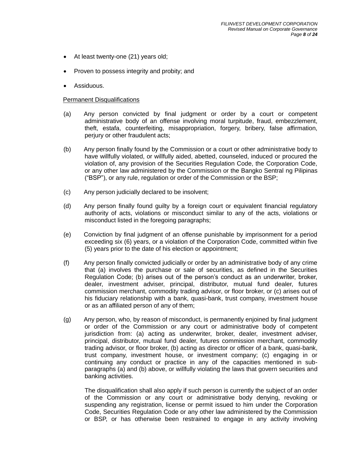- At least twenty-one (21) years old;
- Proven to possess integrity and probity; and
- Assiduous.

#### **Permanent Disqualifications**

- (a) Any person convicted by final judgment or order by a court or competent administrative body of an offense involving moral turpitude, fraud, embezzlement, theft, estafa, counterfeiting, misappropriation, forgery, bribery, false affirmation, perjury or other fraudulent acts;
- (b) Any person finally found by the Commission or a court or other administrative body to have willfully violated, or willfully aided, abetted, counseled, induced or procured the violation of, any provision of the Securities Regulation Code, the Corporation Code, or any other law administered by the Commission or the Bangko Sentral ng Pilipinas ("BSP"), or any rule, regulation or order of the Commission or the BSP;
- (c) Any person judicially declared to be insolvent;
- (d) Any person finally found guilty by a foreign court or equivalent financial regulatory authority of acts, violations or misconduct similar to any of the acts, violations or misconduct listed in the foregoing paragraphs;
- (e) Conviction by final judgment of an offense punishable by imprisonment for a period exceeding six (6) years, or a violation of the Corporation Code, committed within five (5) years prior to the date of his election or appointment;
- (f) Any person finally convicted judicially or order by an administrative body of any crime that (a) involves the purchase or sale of securities, as defined in the Securities Regulation Code; (b) arises out of the person's conduct as an underwriter, broker, dealer, investment adviser, principal, distributor, mutual fund dealer, futures commission merchant, commodity trading advisor, or floor broker, or (c) arises out of his fiduciary relationship with a bank, quasi-bank, trust company, investment house or as an affiliated person of any of them;
- (g) Any person, who, by reason of misconduct, is permanently enjoined by final judgment or order of the Commission or any court or administrative body of competent jurisdiction from: (a) acting as underwriter, broker, dealer, investment adviser, principal, distributor, mutual fund dealer, futures commission merchant, commodity trading advisor, or floor broker, (b) acting as director or officer of a bank, quasi-bank, trust company, investment house, or investment company; (c) engaging in or continuing any conduct or practice in any of the capacities mentioned in subparagraphs (a) and (b) above, or willfully violating the laws that govern securities and banking activities.

The disqualification shall also apply if such person is currently the subject of an order of the Commission or any court or administrative body denying, revoking or suspending any registration, license or permit issued to him under the Corporation Code, Securities Regulation Code or any other law administered by the Commission or BSP, or has otherwise been restrained to engage in any activity involving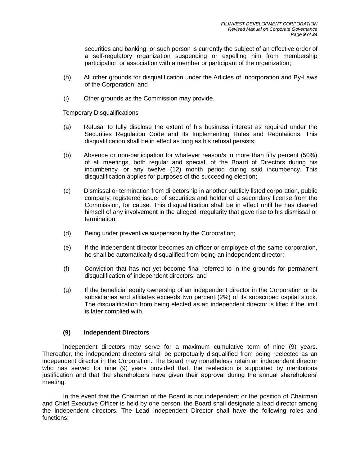securities and banking, or such person is currently the subject of an effective order of a self-regulatory organization suspending or expelling him from membership participation or association with a member or participant of the organization;

- (h) All other grounds for disqualification under the Articles of Incorporation and By-Laws of the Corporation; and
- (i) Other grounds as the Commission may provide.

#### Temporary Disqualifications

- (a) Refusal to fully disclose the extent of his business interest as required under the Securities Regulation Code and its Implementing Rules and Regulations. This disqualification shall be in effect as long as his refusal persists;
- (b) Absence or non-participation for whatever reason/s in more than fifty percent (50%) of all meetings, both regular and special, of the Board of Directors during his incumbency, or any twelve (12) month period during said incumbency. This disqualification applies for purposes of the succeeding election;
- (c) Dismissal or termination from directorship in another publicly listed corporation, public company, registered issuer of securities and holder of a secondary license from the Commission, for cause. This disqualification shall be in effect until he has cleared himself of any involvement in the alleged irregularity that gave rise to his dismissal or termination;
- (d) Being under preventive suspension by the Corporation;
- (e) If the independent director becomes an officer or employee of the same corporation, he shall be automatically disqualified from being an independent director;
- (f) Conviction that has not yet become final referred to in the grounds for permanent disqualification of independent directors; and
- (g) If the beneficial equity ownership of an independent director in the Corporation or its subsidiaries and affiliates exceeds two percent (2%) of its subscribed capital stock. The disqualification from being elected as an independent director is lifted if the limit is later complied with.

#### **(9) Independent Directors**

Independent directors may serve for a maximum cumulative term of nine (9) years. Thereafter, the independent directors shall be perpetually disqualified from being reelected as an independent director in the Corporation. The Board may nonetheless retain an independent director who has served for nine (9) years provided that, the reelection is supported by meritorious justification and that the shareholders have given their approval during the annual shareholders' meeting.

In the event that the Chairman of the Board is not independent or the position of Chairman and Chief Executive Officer is held by one person, the Board shall designate a lead director among the independent directors. The Lead Independent Director shall have the following roles and functions: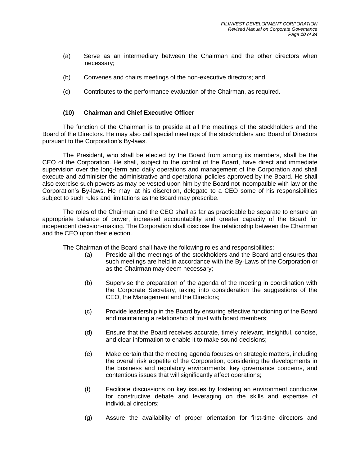- (a) Serve as an intermediary between the Chairman and the other directors when necessary;
- (b) Convenes and chairs meetings of the non-executive directors; and
- (c) Contributes to the performance evaluation of the Chairman, as required.

#### **(10) Chairman and Chief Executive Officer**

The function of the Chairman is to preside at all the meetings of the stockholders and the Board of the Directors. He may also call special meetings of the stockholders and Board of Directors pursuant to the Corporation's By-laws.

The President, who shall be elected by the Board from among its members, shall be the CEO of the Corporation. He shall, subject to the control of the Board, have direct and immediate supervision over the long-term and daily operations and management of the Corporation and shall execute and administer the administrative and operational policies approved by the Board. He shall also exercise such powers as may be vested upon him by the Board not incompatible with law or the Corporation's By-laws. He may, at his discretion, delegate to a CEO some of his responsibilities subject to such rules and limitations as the Board may prescribe.

The roles of the Chairman and the CEO shall as far as practicable be separate to ensure an appropriate balance of power, increased accountability and greater capacity of the Board for independent decision-making. The Corporation shall disclose the relationship between the Chairman and the CEO upon their election.

The Chairman of the Board shall have the following roles and responsibilities:

- (a) Preside all the meetings of the stockholders and the Board and ensures that such meetings are held in accordance with the By-Laws of the Corporation or as the Chairman may deem necessary;
- (b) Supervise the preparation of the agenda of the meeting in coordination with the Corporate Secretary, taking into consideration the suggestions of the CEO, the Management and the Directors;
- (c) Provide leadership in the Board by ensuring effective functioning of the Board and maintaining a relationship of trust with board members;
- (d) Ensure that the Board receives accurate, timely, relevant, insightful, concise, and clear information to enable it to make sound decisions;
- (e) Make certain that the meeting agenda focuses on strategic matters, including the overall risk appetite of the Corporation, considering the developments in the business and regulatory environments, key governance concerns, and contentious issues that will significantly affect operations;
- (f) Facilitate discussions on key issues by fostering an environment conducive for constructive debate and leveraging on the skills and expertise of individual directors;
- (g) Assure the availability of proper orientation for first-time directors and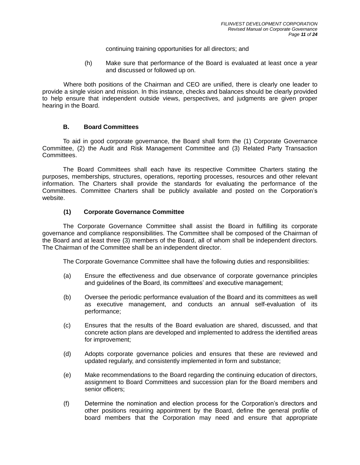continuing training opportunities for all directors; and

(h) Make sure that performance of the Board is evaluated at least once a year and discussed or followed up on.

Where both positions of the Chairman and CEO are unified, there is clearly one leader to provide a single vision and mission. In this instance, checks and balances should be clearly provided to help ensure that independent outside views, perspectives, and judgments are given proper hearing in the Board.

#### **B. Board Committees**

<span id="page-11-0"></span>To aid in good corporate governance, the Board shall form the (1) Corporate Governance Committee, (2) the Audit and Risk Management Committee and (3) Related Party Transaction Committees.

The Board Committees shall each have its respective Committee Charters stating the purposes, memberships, structures, operations, reporting processes, resources and other relevant information. The Charters shall provide the standards for evaluating the performance of the Committees. Committee Charters shall be publicly available and posted on the Corporation's website.

#### **(1) Corporate Governance Committee**

The Corporate Governance Committee shall assist the Board in fulfilling its corporate governance and compliance responsibilities. The Committee shall be composed of the Chairman of the Board and at least three (3) members of the Board, all of whom shall be independent directors. The Chairman of the Committee shall be an independent director.

The Corporate Governance Committee shall have the following duties and responsibilities:

- (a) Ensure the effectiveness and due observance of corporate governance principles and guidelines of the Board, its committees' and executive management;
- (b) Oversee the periodic performance evaluation of the Board and its committees as well as executive management, and conducts an annual self-evaluation of its performance;
- (c) Ensures that the results of the Board evaluation are shared, discussed, and that concrete action plans are developed and implemented to address the identified areas for improvement;
- (d) Adopts corporate governance policies and ensures that these are reviewed and updated regularly, and consistently implemented in form and substance;
- (e) Make recommendations to the Board regarding the continuing education of directors, assignment to Board Committees and succession plan for the Board members and senior officers;
- (f) Determine the nomination and election process for the Corporation's directors and other positions requiring appointment by the Board, define the general profile of board members that the Corporation may need and ensure that appropriate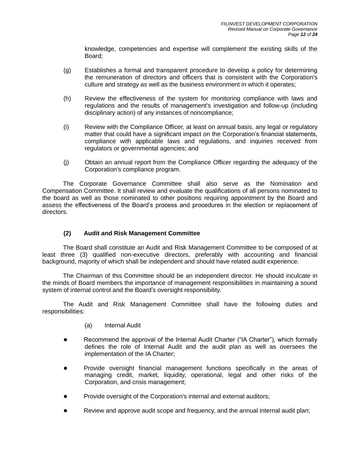knowledge, competencies and expertise will complement the existing skills of the Board;

- (g) Establishes a formal and transparent procedure to develop a policy for determining the remuneration of directors and officers that is consistent with the Corporation's culture and strategy as well as the business environment in which it operates;
- (h) Review the effectiveness of the system for monitoring compliance with laws and regulations and the results of management's investigation and follow-up (including disciplinary action) of any instances of noncompliance;
- (i) Review with the Compliance Officer, at least on annual basis, any legal or regulatory matter that could have a significant impact on the Corporation's financial statements, compliance with applicable laws and regulations, and inquiries received from regulators or governmental agencies; and
- (j) Obtain an annual report from the Compliance Officer regarding the adequacy of the Corporation's compliance program.

The Corporate Governance Committee shall also serve as the Nomination and Compensation Committee. It shall review and evaluate the qualifications of all persons nominated to the board as well as those nominated to other positions requiring appointment by the Board and assess the effectiveness of the Board's process and procedures in the election or replacement of directors.

#### **(2) Audit and Risk Management Committee**

The Board shall constitute an Audit and Risk Management Committee to be composed of at least three (3) qualified non-executive directors, preferably with accounting and financial background, majority of which shall be independent and should have related audit experience.

The Chairman of this Committee should be an independent director. He should inculcate in the minds of Board members the importance of management responsibilities in maintaining a sound system of internal control and the Board's oversight responsibility.

The Audit and Risk Management Committee shall have the following duties and responsibilities:

- (a) Internal Audit
- Recommend the approval of the Internal Audit Charter ("IA Charter"), which formally defines the role of Internal Audit and the audit plan as well as oversees the implementation of the IA Charter;
- Provide oversight financial management functions specifically in the areas of managing credit, market, liquidity, operational, legal and other risks of the Corporation, and crisis management;
- Provide oversight of the Corporation's internal and external auditors;
- Review and approve audit scope and frequency, and the annual internal audit plan;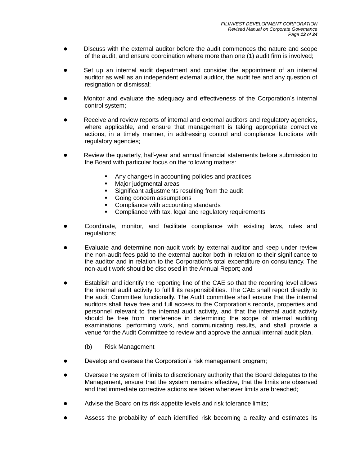- Discuss with the external auditor before the audit commences the nature and scope of the audit, and ensure coordination where more than one (1) audit firm is involved;
- Set up an internal audit department and consider the appointment of an internal auditor as well as an independent external auditor, the audit fee and any question of resignation or dismissal;
- Monitor and evaluate the adequacy and effectiveness of the Corporation's internal control system;
- Receive and review reports of internal and external auditors and regulatory agencies, where applicable, and ensure that management is taking appropriate corrective actions, in a timely manner, in addressing control and compliance functions with regulatory agencies;
- Review the quarterly, half-year and annual financial statements before submission to the Board with particular focus on the following matters:
	- Any change/s in accounting policies and practices
	- **Major judgmental areas**
	- Significant adjustments resulting from the audit
	- Going concern assumptions
	- Compliance with accounting standards
	- Compliance with tax, legal and regulatory requirements
- Coordinate, monitor, and facilitate compliance with existing laws, rules and regulations;
- Evaluate and determine non-audit work by external auditor and keep under review the non-audit fees paid to the external auditor both in relation to their significance to the auditor and in relation to the Corporation's total expenditure on consultancy. The non-audit work should be disclosed in the Annual Report; and
- Establish and identify the reporting line of the CAE so that the reporting level allows the internal audit activity to fulfill its responsibilities. The CAE shall report directly to the audit Committee functionally. The Audit committee shall ensure that the internal auditors shall have free and full access to the Corporation's records, properties and personnel relevant to the internal audit activity, and that the internal audit activity should be free from interference in determining the scope of internal auditing examinations, performing work, and communicating results, and shall provide a venue for the Audit Committee to review and approve the annual internal audit plan.
	- (b) Risk Management
- Develop and oversee the Corporation's risk management program;
- Oversee the system of limits to discretionary authority that the Board delegates to the Management, ensure that the system remains effective, that the limits are observed and that immediate corrective actions are taken whenever limits are breached;
- Advise the Board on its risk appetite levels and risk tolerance limits;
- Assess the probability of each identified risk becoming a reality and estimates its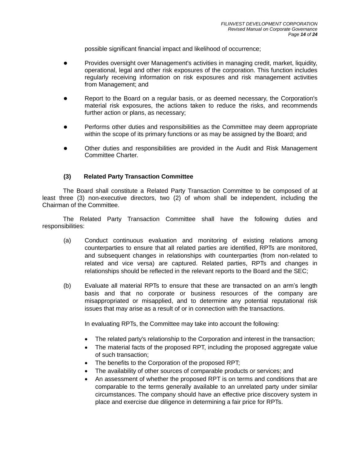possible significant financial impact and likelihood of occurrence;

- Provides oversight over Management's activities in managing credit, market, liquidity, operational, legal and other risk exposures of the corporation. This function includes regularly receiving information on risk exposures and risk management activities from Management; and
- Report to the Board on a regular basis, or as deemed necessary, the Corporation's material risk exposures, the actions taken to reduce the risks, and recommends further action or plans, as necessary;
- Performs other duties and responsibilities as the Committee may deem appropriate within the scope of its primary functions or as may be assigned by the Board; and
- Other duties and responsibilities are provided in the Audit and Risk Management Committee Charter.

# **(3) Related Party Transaction Committee**

The Board shall constitute a Related Party Transaction Committee to be composed of at least three (3) non-executive directors, two (2) of whom shall be independent, including the Chairman of the Committee.

The Related Party Transaction Committee shall have the following duties and responsibilities:

- (a) Conduct continuous evaluation and monitoring of existing relations among counterparties to ensure that all related parties are identified, RPTs are monitored, and subsequent changes in relationships with counterparties (from non-related to related and vice versa) are captured. Related parties, RPTs and changes in relationships should be reflected in the relevant reports to the Board and the SEC;
- (b) Evaluate all material RPTs to ensure that these are transacted on an arm's length basis and that no corporate or business resources of the company are misappropriated or misapplied, and to determine any potential reputational risk issues that may arise as a result of or in connection with the transactions.

In evaluating RPTs, the Committee may take into account the following:

- The related party's relationship to the Corporation and interest in the transaction;
- The material facts of the proposed RPT, including the proposed aggregate value of such transaction;
- The benefits to the Corporation of the proposed RPT;
- The availability of other sources of comparable products or services; and
- An assessment of whether the proposed RPT is on terms and conditions that are comparable to the terms generally available to an unrelated party under similar circumstances. The company should have an effective price discovery system in place and exercise due diligence in determining a fair price for RPTs.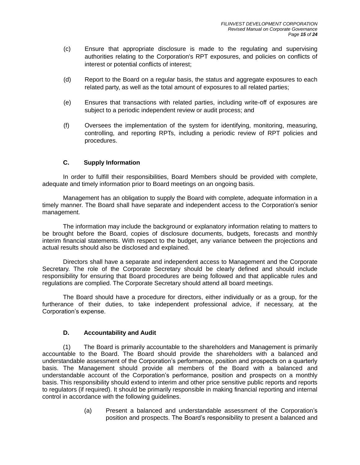- (c) Ensure that appropriate disclosure is made to the regulating and supervising authorities relating to the Corporation's RPT exposures, and policies on conflicts of interest or potential conflicts of interest;
- (d) Report to the Board on a regular basis, the status and aggregate exposures to each related party, as well as the total amount of exposures to all related parties;
- (e) Ensures that transactions with related parties, including write-off of exposures are subject to a periodic independent review or audit process; and
- (f) Oversees the implementation of the system for identifying, monitoring, measuring, controlling, and reporting RPTs, including a periodic review of RPT policies and procedures.

# **C. Supply Information**

<span id="page-15-0"></span>In order to fulfill their responsibilities, Board Members should be provided with complete, adequate and timely information prior to Board meetings on an ongoing basis.

Management has an obligation to supply the Board with complete, adequate information in a timely manner. The Board shall have separate and independent access to the Corporation's senior management.

The information may include the background or explanatory information relating to matters to be brought before the Board, copies of disclosure documents, budgets, forecasts and monthly interim financial statements. With respect to the budget, any variance between the projections and actual results should also be disclosed and explained.

Directors shall have a separate and independent access to Management and the Corporate Secretary. The role of the Corporate Secretary should be clearly defined and should include responsibility for ensuring that Board procedures are being followed and that applicable rules and regulations are complied. The Corporate Secretary should attend all board meetings.

The Board should have a procedure for directors, either individually or as a group, for the furtherance of their duties, to take independent professional advice, if necessary, at the Corporation's expense.

#### **D. Accountability and Audit**

<span id="page-15-1"></span>(1) The Board is primarily accountable to the shareholders and Management is primarily accountable to the Board. The Board should provide the shareholders with a balanced and understandable assessment of the Corporation's performance, position and prospects on a quarterly basis. The Management should provide all members of the Board with a balanced and understandable account of the Corporation's performance, position and prospects on a monthly basis. This responsibility should extend to interim and other price sensitive public reports and reports to regulators (if required). It should be primarily responsible in making financial reporting and internal control in accordance with the following guidelines.

> (a) Present a balanced and understandable assessment of the Corporation's position and prospects. The Board's responsibility to present a balanced and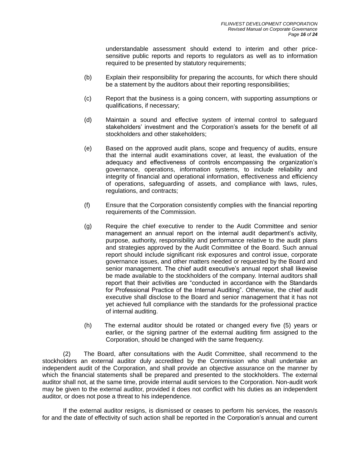understandable assessment should extend to interim and other pricesensitive public reports and reports to regulators as well as to information required to be presented by statutory requirements;

- (b) Explain their responsibility for preparing the accounts, for which there should be a statement by the auditors about their reporting responsibilities;
- (c) Report that the business is a going concern, with supporting assumptions or qualifications, if necessary;
- (d) Maintain a sound and effective system of internal control to safeguard stakeholders' investment and the Corporation's assets for the benefit of all stockholders and other stakeholders;
- (e) Based on the approved audit plans, scope and frequency of audits, ensure that the internal audit examinations cover, at least, the evaluation of the adequacy and effectiveness of controls encompassing the organization's governance, operations, information systems, to include reliability and integrity of financial and operational information, effectiveness and efficiency of operations, safeguarding of assets, and compliance with laws, rules, regulations, and contracts;
- (f) Ensure that the Corporation consistently complies with the financial reporting requirements of the Commission.
- (g) Require the chief executive to render to the Audit Committee and senior management an annual report on the internal audit department's activity, purpose, authority, responsibility and performance relative to the audit plans and strategies approved by the Audit Committee of the Board. Such annual report should include significant risk exposures and control issue, corporate governance issues, and other matters needed or requested by the Board and senior management. The chief audit executive's annual report shall likewise be made available to the stockholders of the company. Internal auditors shall report that their activities are "conducted in accordance with the Standards for Professional Practice of the Internal Auditing". Otherwise, the chief audit executive shall disclose to the Board and senior management that it has not yet achieved full compliance with the standards for the professional practice of internal auditing.
- (h) The external auditor should be rotated or changed every five (5) years or earlier, or the signing partner of the external auditing firm assigned to the Corporation, should be changed with the same frequency.

(2) The Board, after consultations with the Audit Committee, shall recommend to the stockholders an external auditor duly accredited by the Commission who shall undertake an independent audit of the Corporation, and shall provide an objective assurance on the manner by which the financial statements shall be prepared and presented to the stockholders. The external auditor shall not, at the same time, provide internal audit services to the Corporation. Non-audit work may be given to the external auditor, provided it does not conflict with his duties as an independent auditor, or does not pose a threat to his independence.

If the external auditor resigns, is dismissed or ceases to perform his services, the reason/s for and the date of effectivity of such action shall be reported in the Corporation's annual and current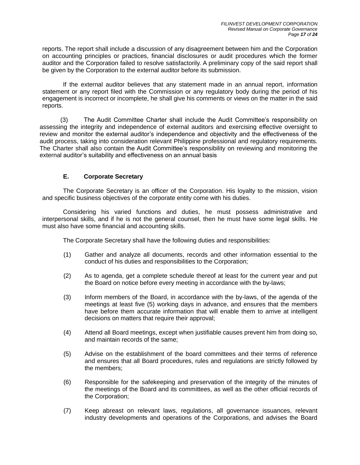reports. The report shall include a discussion of any disagreement between him and the Corporation on accounting principles or practices, financial disclosures or audit procedures which the former auditor and the Corporation failed to resolve satisfactorily. A preliminary copy of the said report shall be given by the Corporation to the external auditor before its submission.

If the external auditor believes that any statement made in an annual report, information statement or any report filed with the Commission or any regulatory body during the period of his engagement is incorrect or incomplete, he shall give his comments or views on the matter in the said reports.

(3) The Audit Committee Charter shall include the Audit Committee's responsibility on assessing the integrity and independence of external auditors and exercising effective oversight to review and monitor the external auditor's independence and objectivity and the effectiveness of the audit process, taking into consideration relevant Philippine professional and regulatory requirements. The Charter shall also contain the Audit Committee's responsibility on reviewing and monitoring the external auditor's suitability and effectiveness on an annual basis

# **E. Corporate Secretary**

<span id="page-17-0"></span>The Corporate Secretary is an officer of the Corporation. His loyalty to the mission, vision and specific business objectives of the corporate entity come with his duties.

Considering his varied functions and duties, he must possess administrative and interpersonal skills, and if he is not the general counsel, then he must have some legal skills. He must also have some financial and accounting skills.

The Corporate Secretary shall have the following duties and responsibilities:

- (1) Gather and analyze all documents, records and other information essential to the conduct of his duties and responsibilities to the Corporation;
- (2) As to agenda, get a complete schedule thereof at least for the current year and put the Board on notice before every meeting in accordance with the by-laws;
- (3) Inform members of the Board, in accordance with the by-laws, of the agenda of the meetings at least five (5) working days in advance, and ensures that the members have before them accurate information that will enable them to arrive at intelligent decisions on matters that require their approval;
- (4) Attend all Board meetings, except when justifiable causes prevent him from doing so, and maintain records of the same;
- (5) Advise on the establishment of the board committees and their terms of reference and ensures that all Board procedures, rules and regulations are strictly followed by the members;
- (6) Responsible for the safekeeping and preservation of the integrity of the minutes of the meetings of the Board and its committees, as well as the other official records of the Corporation;
- (7) Keep abreast on relevant laws, regulations, all governance issuances, relevant industry developments and operations of the Corporations, and advises the Board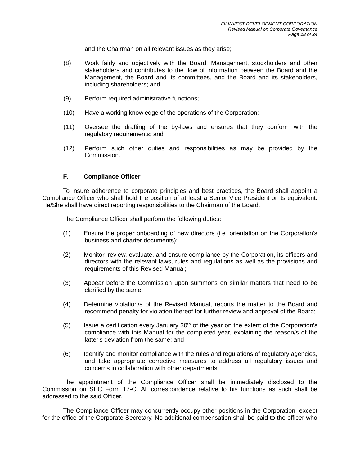and the Chairman on all relevant issues as they arise;

- (8) Work fairly and objectively with the Board, Management, stockholders and other stakeholders and contributes to the flow of information between the Board and the Management, the Board and its committees, and the Board and its stakeholders, including shareholders; and
- (9) Perform required administrative functions;
- (10) Have a working knowledge of the operations of the Corporation;
- (11) Oversee the drafting of the by-laws and ensures that they conform with the regulatory requirements; and
- (12) Perform such other duties and responsibilities as may be provided by the Commission.

#### **F. Compliance Officer**

<span id="page-18-0"></span>To insure adherence to corporate principles and best practices, the Board shall appoint a Compliance Officer who shall hold the position of at least a Senior Vice President or its equivalent. He/She shall have direct reporting responsibilities to the Chairman of the Board.

The Compliance Officer shall perform the following duties:

- (1) Ensure the proper onboarding of new directors (i.e. orientation on the Corporation's business and charter documents);
- (2) Monitor, review, evaluate, and ensure compliance by the Corporation, its officers and directors with the relevant laws, rules and regulations as well as the provisions and requirements of this Revised Manual;
- (3) Appear before the Commission upon summons on similar matters that need to be clarified by the same;
- (4) Determine violation/s of the Revised Manual, reports the matter to the Board and recommend penalty for violation thereof for further review and approval of the Board;
- (5) Issue a certification every January  $30<sup>th</sup>$  of the year on the extent of the Corporation's compliance with this Manual for the completed year, explaining the reason/s of the latter's deviation from the same; and
- (6) Identify and monitor compliance with the rules and regulations of regulatory agencies, and take appropriate corrective measures to address all regulatory issues and concerns in collaboration with other departments.

The appointment of the Compliance Officer shall be immediately disclosed to the Commission on SEC Form 17-C. All correspondence relative to his functions as such shall be addressed to the said Officer.

The Compliance Officer may concurrently occupy other positions in the Corporation, except for the office of the Corporate Secretary. No additional compensation shall be paid to the officer who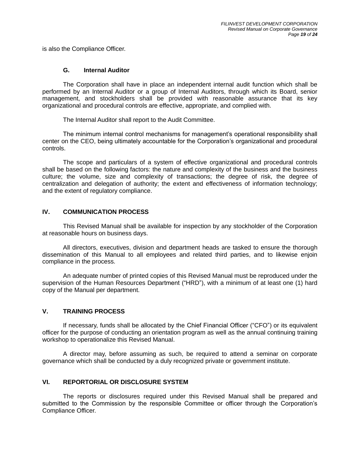is also the Compliance Officer.

#### **G. Internal Auditor**

<span id="page-19-0"></span>The Corporation shall have in place an independent internal audit function which shall be performed by an Internal Auditor or a group of Internal Auditors, through which its Board, senior management, and stockholders shall be provided with reasonable assurance that its key organizational and procedural controls are effective, appropriate, and complied with.

The Internal Auditor shall report to the Audit Committee.

The minimum internal control mechanisms for management's operational responsibility shall center on the CEO, being ultimately accountable for the Corporation's organizational and procedural controls.

The scope and particulars of a system of effective organizational and procedural controls shall be based on the following factors: the nature and complexity of the business and the business culture; the volume, size and complexity of transactions; the degree of risk, the degree of centralization and delegation of authority; the extent and effectiveness of information technology; and the extent of regulatory compliance.

# <span id="page-19-1"></span>**IV. COMMUNICATION PROCESS**

This Revised Manual shall be available for inspection by any stockholder of the Corporation at reasonable hours on business days.

All directors, executives, division and department heads are tasked to ensure the thorough dissemination of this Manual to all employees and related third parties, and to likewise enjoin compliance in the process.

An adequate number of printed copies of this Revised Manual must be reproduced under the supervision of the Human Resources Department ("HRD"), with a minimum of at least one (1) hard copy of the Manual per department.

#### <span id="page-19-2"></span>**V. TRAINING PROCESS**

If necessary, funds shall be allocated by the Chief Financial Officer ("CFO") or its equivalent officer for the purpose of conducting an orientation program as well as the annual continuing training workshop to operationalize this Revised Manual.

A director may, before assuming as such, be required to attend a seminar on corporate governance which shall be conducted by a duly recognized private or government institute.

#### <span id="page-19-3"></span>**VI. REPORTORIAL OR DISCLOSURE SYSTEM**

The reports or disclosures required under this Revised Manual shall be prepared and submitted to the Commission by the responsible Committee or officer through the Corporation's Compliance Officer.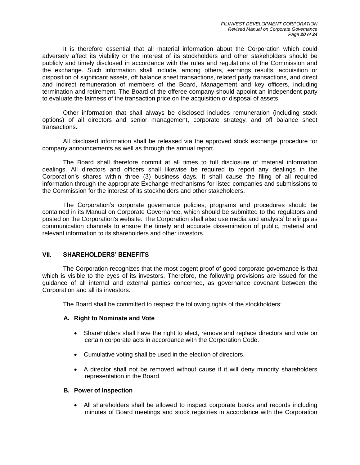It is therefore essential that all material information about the Corporation which could adversely affect its viability or the interest of its stockholders and other stakeholders should be publicly and timely disclosed in accordance with the rules and regulations of the Commission and the exchange. Such information shall include, among others, earnings results, acquisition or disposition of significant assets, off balance sheet transactions, related party transactions, and direct and indirect remuneration of members of the Board, Management and key officers, including termination and retirement. The Board of the offeree company should appoint an independent party to evaluate the fairness of the transaction price on the acquisition or disposal of assets.

Other information that shall always be disclosed includes remuneration (including stock options) of all directors and senior management, corporate strategy, and off balance sheet transactions.

All disclosed information shall be released via the approved stock exchange procedure for company announcements as well as through the annual report.

The Board shall therefore commit at all times to full disclosure of material information dealings. All directors and officers shall likewise be required to report any dealings in the Corporation's shares within three (3) business days. It shall cause the filing of all required information through the appropriate Exchange mechanisms for listed companies and submissions to the Commission for the interest of its stockholders and other stakeholders.

The Corporation's corporate governance policies, programs and procedures should be contained in its Manual on Corporate Governance, which should be submitted to the regulators and posted on the Corporation's website. The Corporation shall also use media and analysts' briefings as communication channels to ensure the timely and accurate dissemination of public, material and relevant information to its shareholders and other investors.

#### <span id="page-20-0"></span>**VII. SHAREHOLDERS' BENEFITS**

The Corporation recognizes that the most cogent proof of good corporate governance is that which is visible to the eyes of its investors. Therefore, the following provisions are issued for the guidance of all internal and external parties concerned, as governance covenant between the Corporation and all its investors.

The Board shall be committed to respect the following rights of the stockholders:

#### **A. Right to Nominate and Vote**

- Shareholders shall have the right to elect, remove and replace directors and vote on certain corporate acts in accordance with the Corporation Code.
- Cumulative voting shall be used in the election of directors.
- A director shall not be removed without cause if it will deny minority shareholders representation in the Board.

#### **B. Power of Inspection**

• All shareholders shall be allowed to inspect corporate books and records including minutes of Board meetings and stock registries in accordance with the Corporation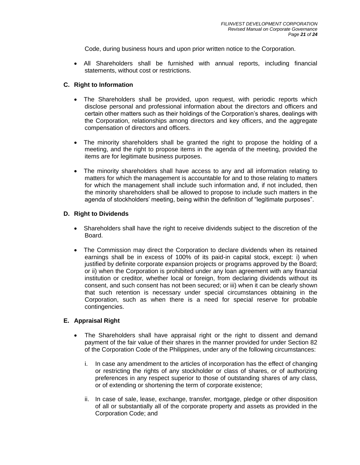Code, during business hours and upon prior written notice to the Corporation.

 All Shareholders shall be furnished with annual reports, including financial statements, without cost or restrictions.

#### **C. Right to Information**

- The Shareholders shall be provided, upon request, with periodic reports which disclose personal and professional information about the directors and officers and certain other matters such as their holdings of the Corporation's shares, dealings with the Corporation, relationships among directors and key officers, and the aggregate compensation of directors and officers.
- The minority shareholders shall be granted the right to propose the holding of a meeting, and the right to propose items in the agenda of the meeting, provided the items are for legitimate business purposes.
- The minority shareholders shall have access to any and all information relating to matters for which the management is accountable for and to those relating to matters for which the management shall include such information and, if not included, then the minority shareholders shall be allowed to propose to include such matters in the agenda of stockholders' meeting, being within the definition of "legitimate purposes".

#### **D. Right to Dividends**

- Shareholders shall have the right to receive dividends subject to the discretion of the Board.
- The Commission may direct the Corporation to declare dividends when its retained earnings shall be in excess of 100% of its paid-in capital stock, except: i) when justified by definite corporate expansion projects or programs approved by the Board; or ii) when the Corporation is prohibited under any loan agreement with any financial institution or creditor, whether local or foreign, from declaring dividends without its consent, and such consent has not been secured; or iii) when it can be clearly shown that such retention is necessary under special circumstances obtaining in the Corporation, such as when there is a need for special reserve for probable contingencies.

#### **E. Appraisal Right**

- The Shareholders shall have appraisal right or the right to dissent and demand payment of the fair value of their shares in the manner provided for under Section 82 of the Corporation Code of the Philippines, under any of the following circumstances:
	- i. In case any amendment to the articles of incorporation has the effect of changing or restricting the rights of any stockholder or class of shares, or of authorizing preferences in any respect superior to those of outstanding shares of any class, or of extending or shortening the term of corporate existence;
	- ii. In case of sale, lease, exchange, transfer, mortgage, pledge or other disposition of all or substantially all of the corporate property and assets as provided in the Corporation Code; and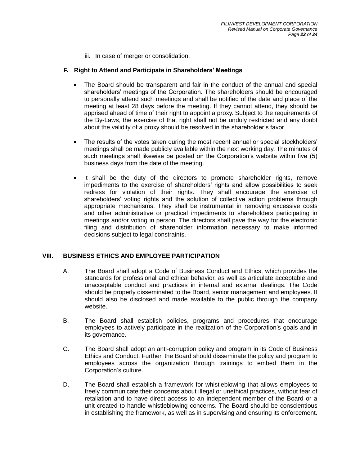iii. In case of merger or consolidation.

#### **F. Right to Attend and Participate in Shareholders' Meetings**

- The Board should be transparent and fair in the conduct of the annual and special shareholders' meetings of the Corporation. The shareholders should be encouraged to personally attend such meetings and shall be notified of the date and place of the meeting at least 28 days before the meeting. If they cannot attend, they should be apprised ahead of time of their right to appoint a proxy. Subject to the requirements of the By-Laws, the exercise of that right shall not be unduly restricted and any doubt about the validity of a proxy should be resolved in the shareholder's favor.
- The results of the votes taken during the most recent annual or special stockholders' meetings shall be made publicly available within the next working day. The minutes of such meetings shall likewise be posted on the Corporation's website within five (5) business days from the date of the meeting.
- It shall be the duty of the directors to promote shareholder rights, remove impediments to the exercise of shareholders' rights and allow possibilities to seek redress for violation of their rights. They shall encourage the exercise of shareholders' voting rights and the solution of collective action problems through appropriate mechanisms. They shall be instrumental in removing excessive costs and other administrative or practical impediments to shareholders participating in meetings and/or voting in person. The directors shall pave the way for the electronic filing and distribution of shareholder information necessary to make informed decisions subject to legal constraints.

#### <span id="page-22-0"></span>**VIII. BUSINESS ETHICS AND EMPLOYEE PARTICIPATION**

- A. The Board shall adopt a Code of Business Conduct and Ethics, which provides the standards for professional and ethical behavior, as well as articulate acceptable and unacceptable conduct and practices in internal and external dealings. The Code should be properly disseminated to the Board, senior management and employees. It should also be disclosed and made available to the public through the company website.
- B. The Board shall establish policies, programs and procedures that encourage employees to actively participate in the realization of the Corporation's goals and in its governance.
- C. The Board shall adopt an anti-corruption policy and program in its Code of Business Ethics and Conduct. Further, the Board should disseminate the policy and program to employees across the organization through trainings to embed them in the Corporation's culture.
- D. The Board shall establish a framework for whistleblowing that allows employees to freely communicate their concerns about illegal or unethical practices, without fear of retaliation and to have direct access to an independent member of the Board or a unit created to handle whistleblowing concerns. The Board should be conscientious in establishing the framework, as well as in supervising and ensuring its enforcement.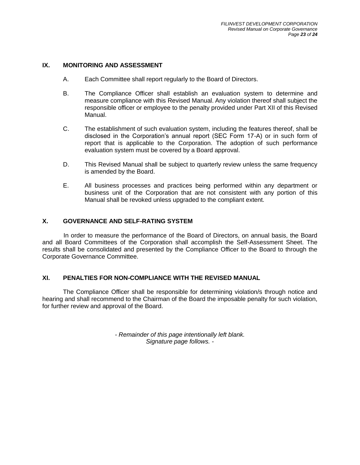# <span id="page-23-0"></span>**IX. MONITORING AND ASSESSMENT**

- A. Each Committee shall report regularly to the Board of Directors.
- B. The Compliance Officer shall establish an evaluation system to determine and measure compliance with this Revised Manual. Any violation thereof shall subject the responsible officer or employee to the penalty provided under Part XII of this Revised Manual.
- C. The establishment of such evaluation system, including the features thereof, shall be disclosed in the Corporation's annual report (SEC Form 17-A) or in such form of report that is applicable to the Corporation. The adoption of such performance evaluation system must be covered by a Board approval.
- D. This Revised Manual shall be subject to quarterly review unless the same frequency is amended by the Board.
- E. All business processes and practices being performed within any department or business unit of the Corporation that are not consistent with any portion of this Manual shall be revoked unless upgraded to the compliant extent.

#### <span id="page-23-1"></span>**X. GOVERNANCE AND SELF-RATING SYSTEM**

In order to measure the performance of the Board of Directors, on annual basis, the Board and all Board Committees of the Corporation shall accomplish the Self-Assessment Sheet. The results shall be consolidated and presented by the Compliance Officer to the Board to through the Corporate Governance Committee.

#### <span id="page-23-2"></span>**XI. PENALTIES FOR NON-COMPLIANCE WITH THE REVISED MANUAL**

The Compliance Officer shall be responsible for determining violation/s through notice and hearing and shall recommend to the Chairman of the Board the imposable penalty for such violation, for further review and approval of the Board.

> *- Remainder of this page intentionally left blank. Signature page follows. -*